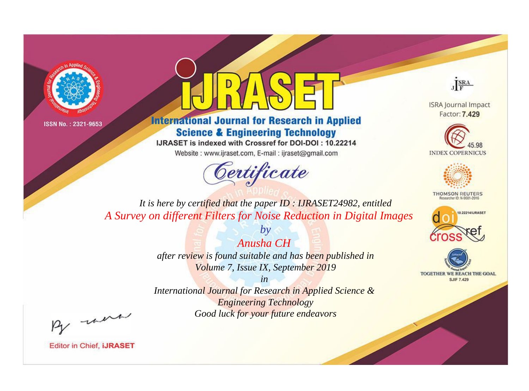



**International Journal for Research in Applied Science & Engineering Technology** 

IJRASET is indexed with Crossref for DOI-DOI: 10.22214

Website: www.ijraset.com, E-mail: ijraset@gmail.com





**ISRA Journal Impact** Factor: 7.429





**THOMSON REUTERS** 



TOGETHER WE REACH THE GOAL **SJIF 7.429** 

*It is here by certified that the paper ID : IJRASET24982, entitled A Survey on different Filters for Noise Reduction in Digital Images*

> *Anusha CH after review is found suitable and has been published in Volume 7, Issue IX, September 2019*

*by*

*in* 

*International Journal for Research in Applied Science & Engineering Technology Good luck for your future endeavors*

By morn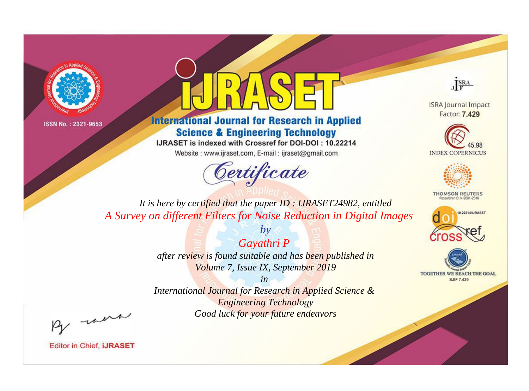



**International Journal for Research in Applied Science & Engineering Technology** 

IJRASET is indexed with Crossref for DOI-DOI: 10.22214

Website: www.ijraset.com, E-mail: ijraset@gmail.com



JERA

**ISRA Journal Impact** Factor: 7.429





**THOMSON REUTERS** 



TOGETHER WE REACH THE GOAL **SJIF 7.429** 

*It is here by certified that the paper ID : IJRASET24982, entitled A Survey on different Filters for Noise Reduction in Digital Images*

> *Gayathri P after review is found suitable and has been published in Volume 7, Issue IX, September 2019*

*by*

*in* 

*International Journal for Research in Applied Science & Engineering Technology Good luck for your future endeavors*

By morn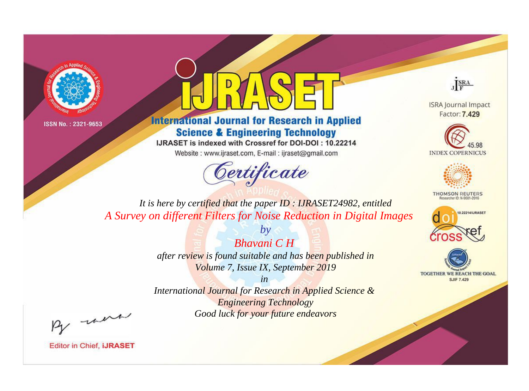



**International Journal for Research in Applied Science & Engineering Technology** 

IJRASET is indexed with Crossref for DOI-DOI: 10.22214

Website: www.ijraset.com, E-mail: ijraset@gmail.com





**ISRA Journal Impact** Factor: 7.429





**THOMSON REUTERS** 



TOGETHER WE REACH THE GOAL **SJIF 7.429** 

*It is here by certified that the paper ID : IJRASET24982, entitled A Survey on different Filters for Noise Reduction in Digital Images*

> *Bhavani C H after review is found suitable and has been published in Volume 7, Issue IX, September 2019*

*by*

*in International Journal for Research in Applied Science & Engineering Technology Good luck for your future endeavors*

By morn